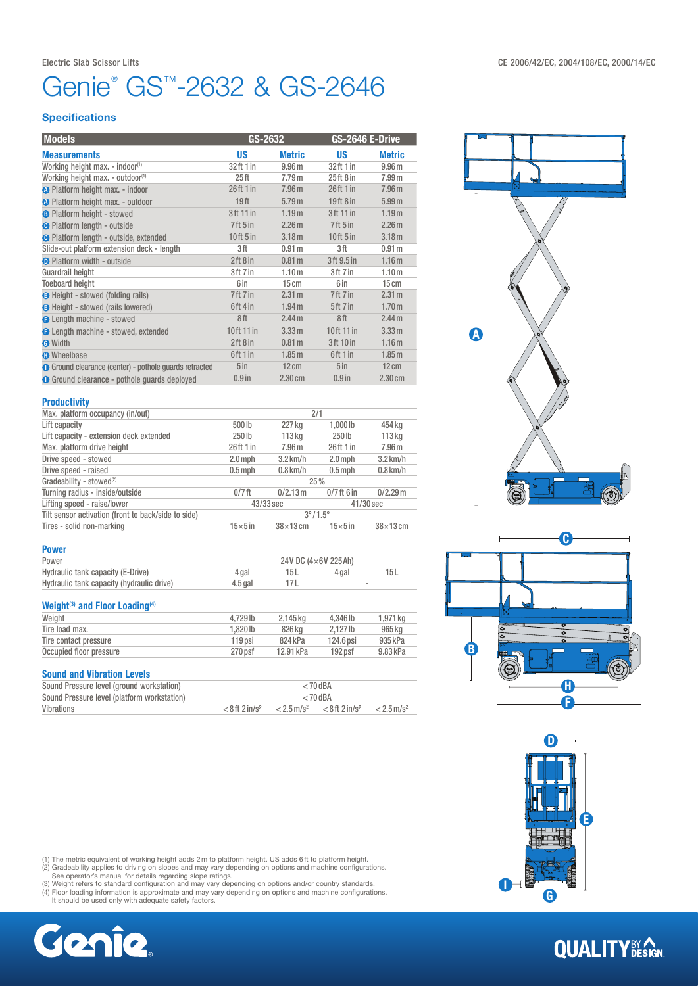## Electric Slab Scissor Lifts CE 2006/42/EC, 2004/108/EC, 2000/14/EC

# Genie® GS™-2632 & GS-2646

## **Specifications**

| <b>Models</b>                                          | GS-2632          |                   |                                 | GS-2646 E-Drive   |  |
|--------------------------------------------------------|------------------|-------------------|---------------------------------|-------------------|--|
| <b>Measurements</b>                                    | <b>US</b>        | <b>Metric</b>     | <b>US</b>                       | <b>Metric</b>     |  |
| Working height max. - indoor <sup>(1)</sup>            | 32 ft 1 in       | 9.96 <sub>m</sub> | 32ft 1 in                       | 9.96 <sub>m</sub> |  |
| Working height max. - outdoor <sup>(1)</sup>           | 25 <sub>ft</sub> | 7.79 <sub>m</sub> | 25ft8in                         | 7.99 <sub>m</sub> |  |
| <b>O</b> Platform height max. - indoor                 | 26 ft 1 in       | 7.96 <sub>m</sub> | 26ft 1 in                       | 7.96 <sub>m</sub> |  |
| O Platform height max. - outdoor                       | 19 <sub>ft</sub> | 5.79 <sub>m</sub> | $19$ ft $8$ in                  | 5.99 <sub>m</sub> |  |
| <b>B</b> Platform height - stowed                      | 3 ft 11 in       | 1.19 <sub>m</sub> | 3 ft 11 in                      | 1.19 <sub>m</sub> |  |
| <b>O</b> Platform length - outside                     | $7$ ft 5 in      | 2.26 <sub>m</sub> | 7 <sup>ft</sup> 5 <sup>in</sup> | 2.26 <sub>m</sub> |  |
| <b>O</b> Platform length - outside, extended           | $10$ ft $5$ in   | 3.18 <sub>m</sub> | $10$ ft $5$ in                  | 3.18 <sub>m</sub> |  |
| Slide-out platform extension deck - length             | 3 ft             | 0.91 m            | 3ft                             | 0.91 <sub>m</sub> |  |
| <b>O</b> Platform width - outside                      | 2ft8in           | 0.81 <sub>m</sub> | 3ft 9.5 in                      | 1.16 <sub>m</sub> |  |
| Guardrail height                                       | 3ft 7in          | 1.10 <sub>m</sub> | 3ft 7in                         | 1.10 <sub>m</sub> |  |
| <b>Toeboard height</b>                                 | 6 in             | 15cm              | 6 in                            | 15cm              |  |
| <b>B</b> Height - stowed (folding rails)               | 7ft 7in          | 2.31 <sub>m</sub> | 7ft 7in                         | 2.31 <sub>m</sub> |  |
| <b>O</b> Height - stowed (rails lowered)               | 6ft 4 in         | 1.94 <sub>m</sub> | 5ft 7in                         | 1.70 <sub>m</sub> |  |
| <b>O</b> Length machine - stowed                       | 8ft              | 2.44 <sub>m</sub> | 8ft                             | 2.44 <sub>m</sub> |  |
| <b>O</b> Length machine - stowed, extended             | 10ft 11 in       | 3.33 m            | 10ft 11 in                      | 3.33 m            |  |
| <b>O</b> Width                                         | 2ft8in           | 0.81 <sub>m</sub> | 3ft 10 in                       | 1.16 <sub>m</sub> |  |
| <b>O</b> Wheelbase                                     | 6ft 1 in         | 1.85 <sub>m</sub> | 6ft1in                          | 1.85 <sub>m</sub> |  |
| ● Ground clearance (center) - pothole guards retracted | 5 <sub>in</sub>  | $12 \text{ cm}$   | 5 <sub>in</sub>                 | 12cm              |  |
| <b>O</b> Ground clearance - pothole quards deployed    | $0.9$ in         | $2.30 \text{ cm}$ | $0.9$ in                        | $2.30 \text{ cm}$ |  |
|                                                        |                  |                   |                                 |                   |  |

#### Productivity

| Max. platform occupancy (in/out)                    | 2/1                     |                   |                 |                   |  |
|-----------------------------------------------------|-------------------------|-------------------|-----------------|-------------------|--|
| Lift capacity                                       | 500lb                   | 227 kg            | $1.000$ lb      | 454 kg            |  |
| Lift capacity - extension deck extended             | 250 <sub>lb</sub>       | $113$ kg          | 250 lb          | 113 <sub>kq</sub> |  |
| Max. platform drive height                          | 26ft 1 in               | 7.96 <sub>m</sub> | 26ft 1 in       | 7.96 <sub>m</sub> |  |
| Drive speed - stowed                                | $2.0$ mph               | $3.2$ km/h        | $2.0$ mph       | $3.2$ km/h        |  |
| Drive speed - raised                                | $0.5$ mph               | $0.8$ km/h        | $0.5$ mph       | $0.8$ km/h        |  |
| Gradeability - stowed <sup>(2)</sup>                | 25%                     |                   |                 |                   |  |
| Turning radius - inside/outside                     | $0/7$ ft                | 0/2.13 m          | $0/7$ ft 6 in   | 0/2.29m           |  |
| Lifting speed - raise/lower                         | 43/33 sec               |                   |                 | $41/30$ sec       |  |
| Tilt sensor activation (front to back/side to side) | $3^{\circ}/1.5^{\circ}$ |                   |                 |                   |  |
| Tires - solid non-marking                           | $15\times 5$ in         | $38\times13$ cm   | $15\times 5$ in | $38\times13$ cm   |  |

#### Power

| Power                                     | 24V DC $(4\times6V)$ 225 Ah) |  |       |  |
|-------------------------------------------|------------------------------|--|-------|--|
| Hydraulic tank capacity (E-Drive)         | 4 gal                        |  | 4 gal |  |
| Hydraulic tank capacity (hydraulic drive) | $4.5$ gal                    |  |       |  |

### Weight<sup>(3)</sup> and Floor Loading<sup>(4)</sup>

| Weight                  | 4.729 lb   | 2.145 kg  | 4.346 lb           | 1.971 kg |
|-------------------------|------------|-----------|--------------------|----------|
| Tire load max.          | $1.820$ lb | 826 kg    | $2.127$ lb         | 965 ka   |
| Tire contact pressure   | 119 psi    | 824 kPa   | 124.6 psi          | 935 kPa  |
| Occupied floor pressure | $270$ psf  | 12.91 kPa | 192 <sub>psf</sub> | 9.83 kPa |
|                         |            |           |                    |          |

## Sound and Vibration Levels

| Sound Pressure level (ground workstation)   | $< 70$ dBA                     |                          |                              |                          |
|---------------------------------------------|--------------------------------|--------------------------|------------------------------|--------------------------|
| Sound Pressure level (platform workstation) | $< 70$ dBA                     |                          |                              |                          |
| Vibrations                                  | $< 8$ ft $2$ in/s <sup>2</sup> | $< 2.5$ m/s <sup>2</sup> | $< 8$ ft 2 in/s <sup>2</sup> | $< 2.5$ m/s <sup>2</sup> |

(1) The metric equivalent of working height adds 2 m to platform height. US adds 6 ft to platform height.<br>(2) Gradeability applies to driving on slopes and may vary depending on options and machine configurations.<br>(3) Weig